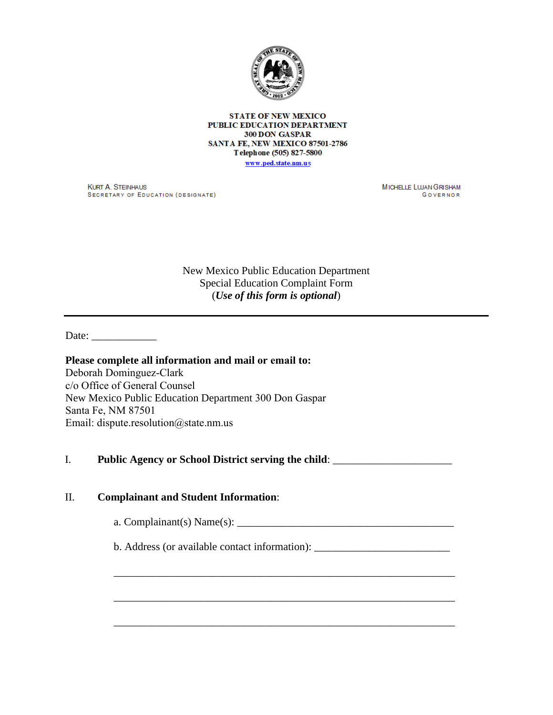

**STATE OF NEW MEXICO** PUBLIC EDUCATION DEPARTMENT 300 DON GASPAR SANTA FE, NEW MEXICO 87501-2786 Telephone (505) 827-5800 www.ped.state.nm.us

**KURT A. STEINHAUS** SECRETARY OF EDUCATION (DESIGNATE) **MICHELLE LWAN GRISHAM** GOVERNOR

New Mexico Public Education Department Special Education Complaint Form (*Use of this form is optional*)

Date: \_\_\_\_\_\_\_\_\_\_\_\_

### **Please complete all information and mail or email to:**  Deborah Dominguez-Clark c/o Office of General Counsel New Mexico Public Education Department 300 Don Gaspar Santa Fe, NM 87501 Email: dispute.resolution@state.nm.us

# I. **Public Agency or School District serving the child**: \_\_\_\_\_\_\_\_\_\_\_\_\_\_\_\_\_\_\_\_\_\_

#### II. **Complainant and Student Information**:

a. Complainant(s) Name(s): \_\_\_\_\_\_\_\_\_\_\_\_\_\_\_\_\_\_\_\_\_\_\_\_\_\_\_\_\_\_\_\_\_\_\_\_\_\_\_\_

\_\_\_\_\_\_\_\_\_\_\_\_\_\_\_\_\_\_\_\_\_\_\_\_\_\_\_\_\_\_\_\_\_\_\_\_\_\_\_\_\_\_\_\_\_\_\_\_\_\_\_\_\_\_\_\_\_\_\_\_\_\_\_

\_\_\_\_\_\_\_\_\_\_\_\_\_\_\_\_\_\_\_\_\_\_\_\_\_\_\_\_\_\_\_\_\_\_\_\_\_\_\_\_\_\_\_\_\_\_\_\_\_\_\_\_\_\_\_\_\_\_\_\_\_\_\_

\_\_\_\_\_\_\_\_\_\_\_\_\_\_\_\_\_\_\_\_\_\_\_\_\_\_\_\_\_\_\_\_\_\_\_\_\_\_\_\_\_\_\_\_\_\_\_\_\_\_\_\_\_\_\_\_\_\_\_\_\_\_\_

b. Address (or available contact information): \_\_\_\_\_\_\_\_\_\_\_\_\_\_\_\_\_\_\_\_\_\_\_\_\_\_\_\_\_\_\_\_\_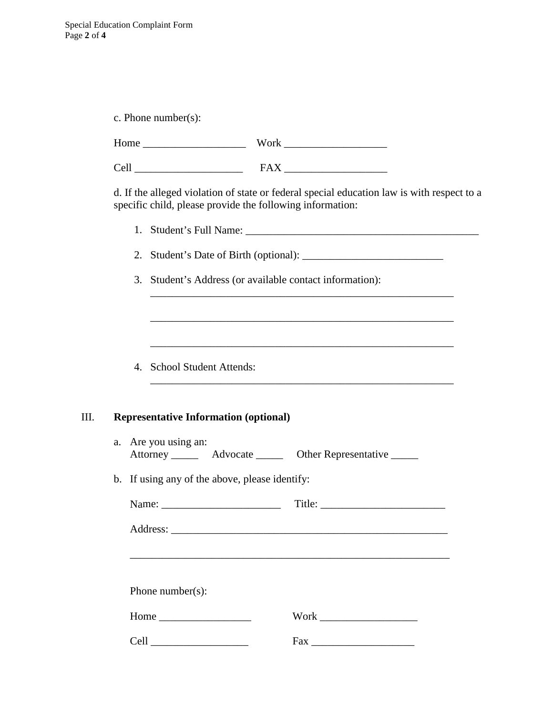c. Phone number(s):

| specific child, please provide the following information: | d. If the alleged violation of state or federal special education law is with respect to a                                                                                                                                                                                                                                                                                                                                                        |  |  |  |
|-----------------------------------------------------------|---------------------------------------------------------------------------------------------------------------------------------------------------------------------------------------------------------------------------------------------------------------------------------------------------------------------------------------------------------------------------------------------------------------------------------------------------|--|--|--|
|                                                           |                                                                                                                                                                                                                                                                                                                                                                                                                                                   |  |  |  |
|                                                           |                                                                                                                                                                                                                                                                                                                                                                                                                                                   |  |  |  |
| 3. Student's Address (or available contact information):  |                                                                                                                                                                                                                                                                                                                                                                                                                                                   |  |  |  |
|                                                           |                                                                                                                                                                                                                                                                                                                                                                                                                                                   |  |  |  |
| 4. School Student Attends:                                |                                                                                                                                                                                                                                                                                                                                                                                                                                                   |  |  |  |
| <b>Representative Information (optional)</b>              |                                                                                                                                                                                                                                                                                                                                                                                                                                                   |  |  |  |
| a. Are you using an:                                      | Attorney _________ Advocate _________ Other Representative ______                                                                                                                                                                                                                                                                                                                                                                                 |  |  |  |
| b. If using any of the above, please identify:            |                                                                                                                                                                                                                                                                                                                                                                                                                                                   |  |  |  |
|                                                           | Title: $\frac{1}{\sqrt{1-\frac{1}{2}} \cdot \frac{1}{2} \cdot \frac{1}{2} \cdot \frac{1}{2} \cdot \frac{1}{2} \cdot \frac{1}{2} \cdot \frac{1}{2} \cdot \frac{1}{2} \cdot \frac{1}{2} \cdot \frac{1}{2} \cdot \frac{1}{2} \cdot \frac{1}{2} \cdot \frac{1}{2} \cdot \frac{1}{2} \cdot \frac{1}{2} \cdot \frac{1}{2} \cdot \frac{1}{2} \cdot \frac{1}{2} \cdot \frac{1}{2} \cdot \frac{1}{2} \cdot \frac{1}{2} \cdot \frac{1}{2} \cdot \frac{1}{2$ |  |  |  |
|                                                           |                                                                                                                                                                                                                                                                                                                                                                                                                                                   |  |  |  |
| Phone number( $s$ ):                                      |                                                                                                                                                                                                                                                                                                                                                                                                                                                   |  |  |  |
| Home                                                      | Work                                                                                                                                                                                                                                                                                                                                                                                                                                              |  |  |  |

Cell \_\_\_\_\_\_\_\_\_\_\_\_\_\_\_\_\_\_ Fax \_\_\_\_\_\_\_\_\_\_\_\_\_\_\_\_\_\_\_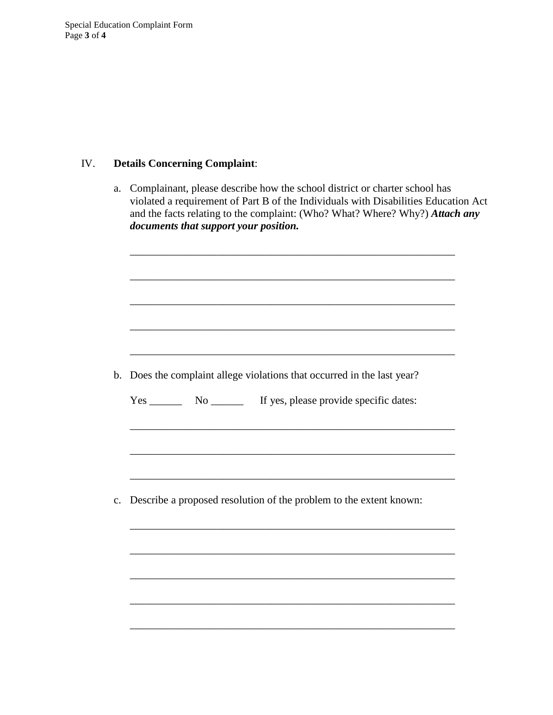# IV. **Details Concerning Complaint**:

a. Complainant, please describe how the school district or charter school has violated a requirement of Part B of the Individuals with Disabilities Education Act and the facts relating to the complaint: (Who? What? Where? Why?) *Attach any documents that support your position.*

\_\_\_\_\_\_\_\_\_\_\_\_\_\_\_\_\_\_\_\_\_\_\_\_\_\_\_\_\_\_\_\_\_\_\_\_\_\_\_\_\_\_\_\_\_\_\_\_\_\_\_\_\_\_\_\_\_\_\_\_

\_\_\_\_\_\_\_\_\_\_\_\_\_\_\_\_\_\_\_\_\_\_\_\_\_\_\_\_\_\_\_\_\_\_\_\_\_\_\_\_\_\_\_\_\_\_\_\_\_\_\_\_\_\_\_\_\_\_\_\_

\_\_\_\_\_\_\_\_\_\_\_\_\_\_\_\_\_\_\_\_\_\_\_\_\_\_\_\_\_\_\_\_\_\_\_\_\_\_\_\_\_\_\_\_\_\_\_\_\_\_\_\_\_\_\_\_\_\_\_\_

\_\_\_\_\_\_\_\_\_\_\_\_\_\_\_\_\_\_\_\_\_\_\_\_\_\_\_\_\_\_\_\_\_\_\_\_\_\_\_\_\_\_\_\_\_\_\_\_\_\_\_\_\_\_\_\_\_\_\_\_

\_\_\_\_\_\_\_\_\_\_\_\_\_\_\_\_\_\_\_\_\_\_\_\_\_\_\_\_\_\_\_\_\_\_\_\_\_\_\_\_\_\_\_\_\_\_\_\_\_\_\_\_\_\_\_\_\_\_\_\_

\_\_\_\_\_\_\_\_\_\_\_\_\_\_\_\_\_\_\_\_\_\_\_\_\_\_\_\_\_\_\_\_\_\_\_\_\_\_\_\_\_\_\_\_\_\_\_\_\_\_\_\_\_\_\_\_\_\_\_\_

\_\_\_\_\_\_\_\_\_\_\_\_\_\_\_\_\_\_\_\_\_\_\_\_\_\_\_\_\_\_\_\_\_\_\_\_\_\_\_\_\_\_\_\_\_\_\_\_\_\_\_\_\_\_\_\_\_\_\_\_

\_\_\_\_\_\_\_\_\_\_\_\_\_\_\_\_\_\_\_\_\_\_\_\_\_\_\_\_\_\_\_\_\_\_\_\_\_\_\_\_\_\_\_\_\_\_\_\_\_\_\_\_\_\_\_\_\_\_\_\_

\_\_\_\_\_\_\_\_\_\_\_\_\_\_\_\_\_\_\_\_\_\_\_\_\_\_\_\_\_\_\_\_\_\_\_\_\_\_\_\_\_\_\_\_\_\_\_\_\_\_\_\_\_\_\_\_\_\_\_\_

\_\_\_\_\_\_\_\_\_\_\_\_\_\_\_\_\_\_\_\_\_\_\_\_\_\_\_\_\_\_\_\_\_\_\_\_\_\_\_\_\_\_\_\_\_\_\_\_\_\_\_\_\_\_\_\_\_\_\_\_

\_\_\_\_\_\_\_\_\_\_\_\_\_\_\_\_\_\_\_\_\_\_\_\_\_\_\_\_\_\_\_\_\_\_\_\_\_\_\_\_\_\_\_\_\_\_\_\_\_\_\_\_\_\_\_\_\_\_\_\_

\_\_\_\_\_\_\_\_\_\_\_\_\_\_\_\_\_\_\_\_\_\_\_\_\_\_\_\_\_\_\_\_\_\_\_\_\_\_\_\_\_\_\_\_\_\_\_\_\_\_\_\_\_\_\_\_\_\_\_\_

\_\_\_\_\_\_\_\_\_\_\_\_\_\_\_\_\_\_\_\_\_\_\_\_\_\_\_\_\_\_\_\_\_\_\_\_\_\_\_\_\_\_\_\_\_\_\_\_\_\_\_\_\_\_\_\_\_\_\_\_

b. Does the complaint allege violations that occurred in the last year?

|  | Yes | No. |  | If yes, please provide specific dates: |
|--|-----|-----|--|----------------------------------------|
|--|-----|-----|--|----------------------------------------|

c. Describe a proposed resolution of the problem to the extent known: